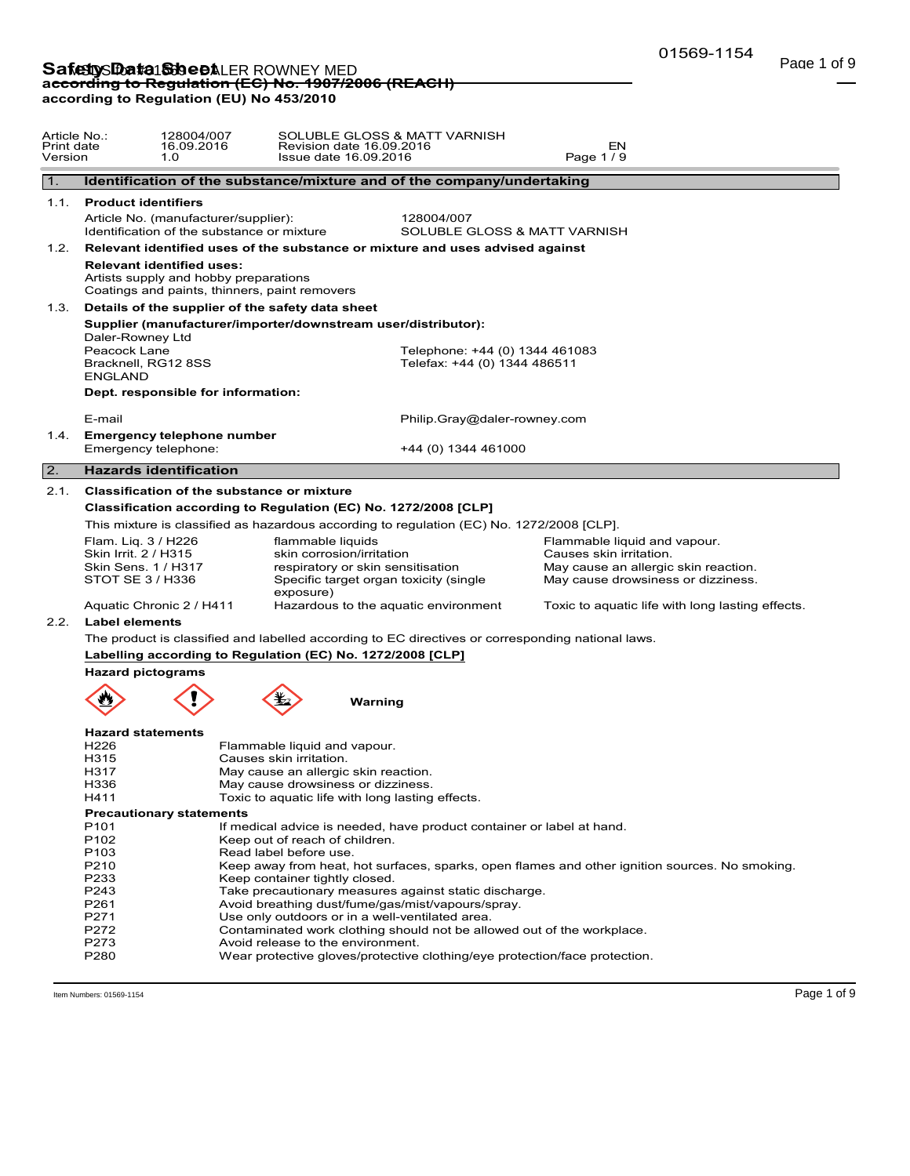| <b>Product identifiers</b><br>1.1.<br>Article No. (manufacturer/supplier):<br>Identification of the substance or mixture | Identification of the substance/mixture and of the company/undertaking        |                                                                                                                                                                                                                                                                                                                       |                                                                                                                                                                                                                                                                                                                                                                                                                                                                                                                                                                                                                                                                                                                                                  |                                                                                                                                                                                                                                                                                                                                                                                                                                                                                                                                                                                                                                                                                              |
|--------------------------------------------------------------------------------------------------------------------------|-------------------------------------------------------------------------------|-----------------------------------------------------------------------------------------------------------------------------------------------------------------------------------------------------------------------------------------------------------------------------------------------------------------------|--------------------------------------------------------------------------------------------------------------------------------------------------------------------------------------------------------------------------------------------------------------------------------------------------------------------------------------------------------------------------------------------------------------------------------------------------------------------------------------------------------------------------------------------------------------------------------------------------------------------------------------------------------------------------------------------------------------------------------------------------|----------------------------------------------------------------------------------------------------------------------------------------------------------------------------------------------------------------------------------------------------------------------------------------------------------------------------------------------------------------------------------------------------------------------------------------------------------------------------------------------------------------------------------------------------------------------------------------------------------------------------------------------------------------------------------------------|
|                                                                                                                          |                                                                               |                                                                                                                                                                                                                                                                                                                       |                                                                                                                                                                                                                                                                                                                                                                                                                                                                                                                                                                                                                                                                                                                                                  |                                                                                                                                                                                                                                                                                                                                                                                                                                                                                                                                                                                                                                                                                              |
|                                                                                                                          |                                                                               |                                                                                                                                                                                                                                                                                                                       |                                                                                                                                                                                                                                                                                                                                                                                                                                                                                                                                                                                                                                                                                                                                                  |                                                                                                                                                                                                                                                                                                                                                                                                                                                                                                                                                                                                                                                                                              |
|                                                                                                                          |                                                                               | 128004/007<br>SOLUBLE GLOSS & MATT VARNISH                                                                                                                                                                                                                                                                            |                                                                                                                                                                                                                                                                                                                                                                                                                                                                                                                                                                                                                                                                                                                                                  |                                                                                                                                                                                                                                                                                                                                                                                                                                                                                                                                                                                                                                                                                              |
|                                                                                                                          | Relevant identified uses of the substance or mixture and uses advised against |                                                                                                                                                                                                                                                                                                                       |                                                                                                                                                                                                                                                                                                                                                                                                                                                                                                                                                                                                                                                                                                                                                  |                                                                                                                                                                                                                                                                                                                                                                                                                                                                                                                                                                                                                                                                                              |
| <b>Relevant identified uses:</b><br>Artists supply and hobby preparations                                                | Coatings and paints, thinners, paint removers                                 |                                                                                                                                                                                                                                                                                                                       |                                                                                                                                                                                                                                                                                                                                                                                                                                                                                                                                                                                                                                                                                                                                                  |                                                                                                                                                                                                                                                                                                                                                                                                                                                                                                                                                                                                                                                                                              |
| 1.3.                                                                                                                     |                                                                               |                                                                                                                                                                                                                                                                                                                       |                                                                                                                                                                                                                                                                                                                                                                                                                                                                                                                                                                                                                                                                                                                                                  |                                                                                                                                                                                                                                                                                                                                                                                                                                                                                                                                                                                                                                                                                              |
| Daler-Rowney Ltd<br>Peacock Lane<br><b>ENGLAND</b>                                                                       |                                                                               |                                                                                                                                                                                                                                                                                                                       |                                                                                                                                                                                                                                                                                                                                                                                                                                                                                                                                                                                                                                                                                                                                                  |                                                                                                                                                                                                                                                                                                                                                                                                                                                                                                                                                                                                                                                                                              |
|                                                                                                                          |                                                                               |                                                                                                                                                                                                                                                                                                                       |                                                                                                                                                                                                                                                                                                                                                                                                                                                                                                                                                                                                                                                                                                                                                  |                                                                                                                                                                                                                                                                                                                                                                                                                                                                                                                                                                                                                                                                                              |
|                                                                                                                          |                                                                               |                                                                                                                                                                                                                                                                                                                       |                                                                                                                                                                                                                                                                                                                                                                                                                                                                                                                                                                                                                                                                                                                                                  |                                                                                                                                                                                                                                                                                                                                                                                                                                                                                                                                                                                                                                                                                              |
| 1.4.                                                                                                                     |                                                                               |                                                                                                                                                                                                                                                                                                                       |                                                                                                                                                                                                                                                                                                                                                                                                                                                                                                                                                                                                                                                                                                                                                  |                                                                                                                                                                                                                                                                                                                                                                                                                                                                                                                                                                                                                                                                                              |
|                                                                                                                          |                                                                               | +44 (0) 1344 461000                                                                                                                                                                                                                                                                                                   |                                                                                                                                                                                                                                                                                                                                                                                                                                                                                                                                                                                                                                                                                                                                                  |                                                                                                                                                                                                                                                                                                                                                                                                                                                                                                                                                                                                                                                                                              |
|                                                                                                                          |                                                                               |                                                                                                                                                                                                                                                                                                                       |                                                                                                                                                                                                                                                                                                                                                                                                                                                                                                                                                                                                                                                                                                                                                  |                                                                                                                                                                                                                                                                                                                                                                                                                                                                                                                                                                                                                                                                                              |
| 2.1.                                                                                                                     |                                                                               |                                                                                                                                                                                                                                                                                                                       |                                                                                                                                                                                                                                                                                                                                                                                                                                                                                                                                                                                                                                                                                                                                                  |                                                                                                                                                                                                                                                                                                                                                                                                                                                                                                                                                                                                                                                                                              |
|                                                                                                                          |                                                                               |                                                                                                                                                                                                                                                                                                                       |                                                                                                                                                                                                                                                                                                                                                                                                                                                                                                                                                                                                                                                                                                                                                  |                                                                                                                                                                                                                                                                                                                                                                                                                                                                                                                                                                                                                                                                                              |
|                                                                                                                          |                                                                               |                                                                                                                                                                                                                                                                                                                       |                                                                                                                                                                                                                                                                                                                                                                                                                                                                                                                                                                                                                                                                                                                                                  |                                                                                                                                                                                                                                                                                                                                                                                                                                                                                                                                                                                                                                                                                              |
| Flam. Liq. 3 / H226                                                                                                      | flammable liquids                                                             |                                                                                                                                                                                                                                                                                                                       | Flammable liquid and vapour.                                                                                                                                                                                                                                                                                                                                                                                                                                                                                                                                                                                                                                                                                                                     |                                                                                                                                                                                                                                                                                                                                                                                                                                                                                                                                                                                                                                                                                              |
| Skin Irrit. 2 / H315<br>Skin Sens. 1 / H317<br>STOT SE 3 / H336                                                          |                                                                               |                                                                                                                                                                                                                                                                                                                       | Causes skin irritation.<br>May cause an allergic skin reaction.<br>May cause drowsiness or dizziness.                                                                                                                                                                                                                                                                                                                                                                                                                                                                                                                                                                                                                                            |                                                                                                                                                                                                                                                                                                                                                                                                                                                                                                                                                                                                                                                                                              |
|                                                                                                                          |                                                                               |                                                                                                                                                                                                                                                                                                                       | Toxic to aquatic life with long lasting effects.                                                                                                                                                                                                                                                                                                                                                                                                                                                                                                                                                                                                                                                                                                 |                                                                                                                                                                                                                                                                                                                                                                                                                                                                                                                                                                                                                                                                                              |
| <b>Label elements</b>                                                                                                    |                                                                               |                                                                                                                                                                                                                                                                                                                       |                                                                                                                                                                                                                                                                                                                                                                                                                                                                                                                                                                                                                                                                                                                                                  |                                                                                                                                                                                                                                                                                                                                                                                                                                                                                                                                                                                                                                                                                              |
|                                                                                                                          |                                                                               |                                                                                                                                                                                                                                                                                                                       |                                                                                                                                                                                                                                                                                                                                                                                                                                                                                                                                                                                                                                                                                                                                                  |                                                                                                                                                                                                                                                                                                                                                                                                                                                                                                                                                                                                                                                                                              |
|                                                                                                                          |                                                                               |                                                                                                                                                                                                                                                                                                                       |                                                                                                                                                                                                                                                                                                                                                                                                                                                                                                                                                                                                                                                                                                                                                  |                                                                                                                                                                                                                                                                                                                                                                                                                                                                                                                                                                                                                                                                                              |
|                                                                                                                          |                                                                               |                                                                                                                                                                                                                                                                                                                       |                                                                                                                                                                                                                                                                                                                                                                                                                                                                                                                                                                                                                                                                                                                                                  |                                                                                                                                                                                                                                                                                                                                                                                                                                                                                                                                                                                                                                                                                              |
|                                                                                                                          |                                                                               |                                                                                                                                                                                                                                                                                                                       |                                                                                                                                                                                                                                                                                                                                                                                                                                                                                                                                                                                                                                                                                                                                                  |                                                                                                                                                                                                                                                                                                                                                                                                                                                                                                                                                                                                                                                                                              |
| <b>Hazard statements</b><br>H <sub>226</sub><br>H315<br>H317<br>H336<br>H411                                             | Causes skin irritation.                                                       |                                                                                                                                                                                                                                                                                                                       |                                                                                                                                                                                                                                                                                                                                                                                                                                                                                                                                                                                                                                                                                                                                                  |                                                                                                                                                                                                                                                                                                                                                                                                                                                                                                                                                                                                                                                                                              |
|                                                                                                                          |                                                                               |                                                                                                                                                                                                                                                                                                                       |                                                                                                                                                                                                                                                                                                                                                                                                                                                                                                                                                                                                                                                                                                                                                  |                                                                                                                                                                                                                                                                                                                                                                                                                                                                                                                                                                                                                                                                                              |
| P <sub>101</sub><br>P <sub>102</sub><br>P <sub>103</sub><br>P210<br>P233<br>P243<br>P261<br>P271<br>P272<br>P273<br>P280 | Read label before use.                                                        |                                                                                                                                                                                                                                                                                                                       |                                                                                                                                                                                                                                                                                                                                                                                                                                                                                                                                                                                                                                                                                                                                                  |                                                                                                                                                                                                                                                                                                                                                                                                                                                                                                                                                                                                                                                                                              |
|                                                                                                                          | Bracknell, RG12 8SS<br>E-mail<br><b>Hazard pictograms</b>                     | Details of the supplier of the safety data sheet<br>Dept. responsible for information:<br><b>Emergency telephone number</b><br>Emergency telephone:<br><b>Hazards identification</b><br><b>Classification of the substance or mixture</b><br>exposure)<br>Aquatic Chronic 2 / H411<br><b>Precautionary statements</b> | Supplier (manufacturer/importer/downstream user/distributor):<br>Classification according to Regulation (EC) No. 1272/2008 [CLP]<br>skin corrosion/irritation<br>respiratory or skin sensitisation<br>Specific target organ toxicity (single<br>Hazardous to the aquatic environment<br>Labelling according to Regulation (EC) No. 1272/2008 [CLP]<br>Warning<br>Flammable liquid and vapour.<br>May cause an allergic skin reaction.<br>May cause drowsiness or dizziness.<br>Toxic to aquatic life with long lasting effects.<br>Keep out of reach of children.<br>Keep container tightly closed.<br>Avoid breathing dust/fume/gas/mist/vapours/spray.<br>Use only outdoors or in a well-ventilated area.<br>Avoid release to the environment. | Telephone: +44 (0) 1344 461083<br>Telefax: +44 (0) 1344 486511<br>Philip.Gray@daler-rowney.com<br>This mixture is classified as hazardous according to regulation (EC) No. 1272/2008 [CLP].<br>The product is classified and labelled according to EC directives or corresponding national laws.<br>If medical advice is needed, have product container or label at hand.<br>Keep away from heat, hot surfaces, sparks, open flames and other ignition sources. No smoking.<br>Take precautionary measures against static discharge.<br>Contaminated work clothing should not be allowed out of the workplace.<br>Wear protective gloves/protective clothing/eye protection/face protection. |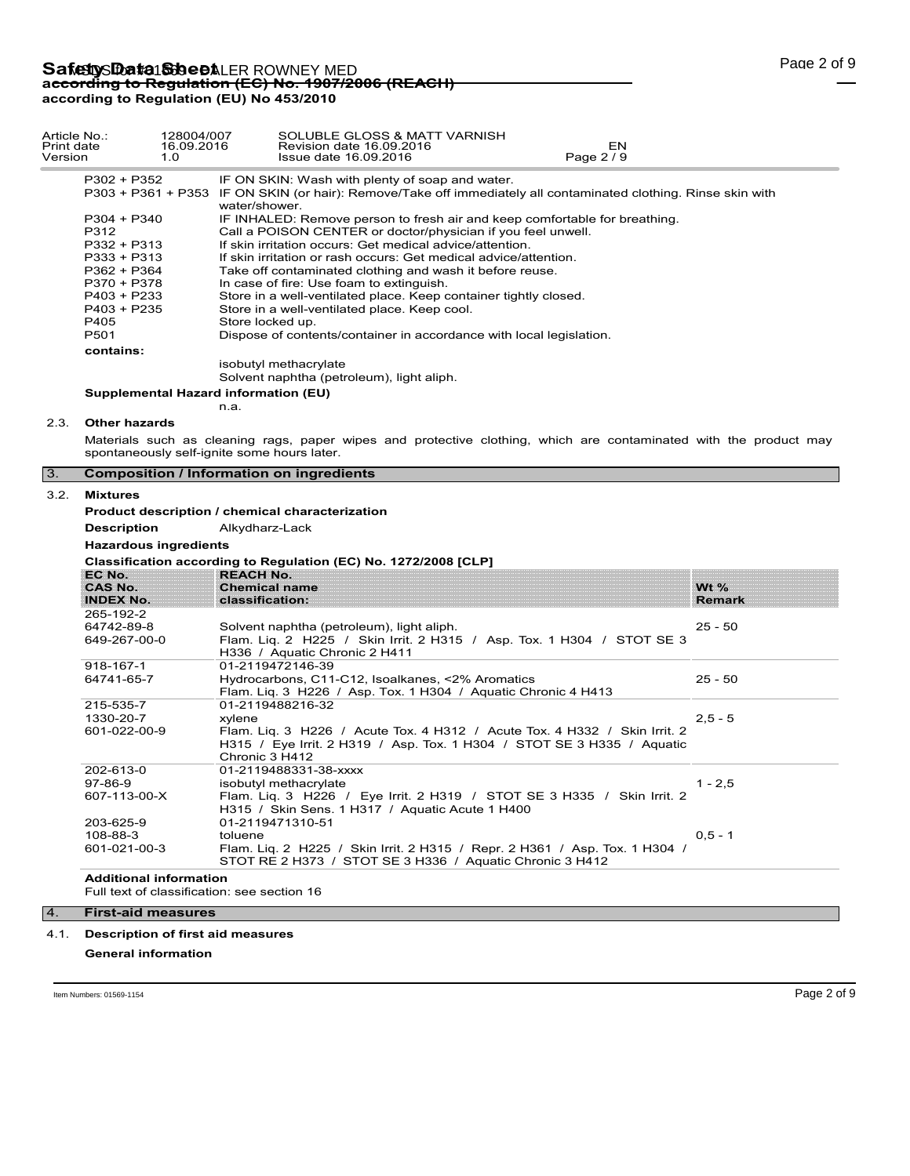| Article No.:<br>Print date<br>Version |                                             | 128004/007<br>16.09.2016<br>1.0 | SOLUBLE GLOSS & MATT VARNISH<br>Revision date 16.09.2016<br>EN<br>Page 2 / 9<br>Issue date 16.09.2016             |               |  |  |  |
|---------------------------------------|---------------------------------------------|---------------------------------|-------------------------------------------------------------------------------------------------------------------|---------------|--|--|--|
|                                       | $P302 + P352$                               |                                 | IF ON SKIN: Wash with plenty of soap and water.                                                                   |               |  |  |  |
|                                       |                                             |                                 | P303 + P361 + P353 IF ON SKIN (or hair): Remove/Take off immediately all contaminated clothing. Rinse skin with   |               |  |  |  |
|                                       |                                             |                                 | water/shower.                                                                                                     |               |  |  |  |
|                                       | P304 + P340                                 |                                 | IF INHALED: Remove person to fresh air and keep comfortable for breathing.                                        |               |  |  |  |
|                                       | P312                                        |                                 | Call a POISON CENTER or doctor/physician if you feel unwell.                                                      |               |  |  |  |
|                                       | P332 + P313                                 |                                 | If skin irritation occurs: Get medical advice/attention.                                                          |               |  |  |  |
|                                       | P333 + P313                                 |                                 | If skin irritation or rash occurs: Get medical advice/attention.                                                  |               |  |  |  |
|                                       | P362 + P364                                 |                                 | Take off contaminated clothing and wash it before reuse.                                                          |               |  |  |  |
|                                       | P370 + P378                                 |                                 | In case of fire: Use foam to extinguish.                                                                          |               |  |  |  |
|                                       | P403 + P233                                 |                                 | Store in a well-ventilated place. Keep container tightly closed.                                                  |               |  |  |  |
|                                       | $P403 + P235$                               |                                 | Store in a well-ventilated place. Keep cool.                                                                      |               |  |  |  |
|                                       | P405                                        |                                 | Store locked up.                                                                                                  |               |  |  |  |
|                                       | P501                                        |                                 | Dispose of contents/container in accordance with local legislation.                                               |               |  |  |  |
|                                       | contains:                                   |                                 |                                                                                                                   |               |  |  |  |
|                                       |                                             |                                 | isobutyl methacrylate                                                                                             |               |  |  |  |
|                                       |                                             |                                 | Solvent naphtha (petroleum), light aliph.                                                                         |               |  |  |  |
|                                       |                                             |                                 | Supplemental Hazard information (EU)                                                                              |               |  |  |  |
|                                       |                                             |                                 | n.a.                                                                                                              |               |  |  |  |
| 2.3.                                  | <b>Other hazards</b>                        |                                 |                                                                                                                   |               |  |  |  |
|                                       |                                             |                                 | Materials such as cleaning rags, paper wipes and protective clothing, which are contaminated with the product may |               |  |  |  |
|                                       | spontaneously self-ignite some hours later. |                                 |                                                                                                                   |               |  |  |  |
| 3.                                    |                                             |                                 | <b>Composition / Information on ingredients</b>                                                                   |               |  |  |  |
| 3.2.                                  | <b>Mixtures</b>                             |                                 |                                                                                                                   |               |  |  |  |
|                                       |                                             |                                 | Product description / chemical characterization                                                                   |               |  |  |  |
|                                       | <b>Description</b>                          |                                 | Alkydharz-Lack                                                                                                    |               |  |  |  |
|                                       | <b>Hazardous ingredients</b>                |                                 |                                                                                                                   |               |  |  |  |
|                                       |                                             |                                 |                                                                                                                   |               |  |  |  |
|                                       | EC No.                                      |                                 | Classification according to Regulation (EC) No. 1272/2008 [CLP]<br><b>REACH No.</b>                               |               |  |  |  |
|                                       | <b>CAS No.</b>                              |                                 | <b>Chemical name</b>                                                                                              | Wt $%$        |  |  |  |
|                                       | <b>INDEX No.</b>                            |                                 | classification:                                                                                                   | <b>Remark</b> |  |  |  |
|                                       | 265-192-2                                   |                                 |                                                                                                                   |               |  |  |  |
|                                       | 64742-89-8                                  |                                 | Solvent naphtha (petroleum), light aliph.                                                                         | $25 - 50$     |  |  |  |
|                                       | 649-267-00-0                                |                                 | Flam. Liq. 2 H225 / Skin Irrit. 2 H315 / Asp. Tox. 1 H304 / STOT SE 3                                             |               |  |  |  |
|                                       |                                             |                                 | H336 / Aquatic Chronic 2 H411                                                                                     |               |  |  |  |
|                                       | 918-167-1                                   |                                 | 01-2119472146-39                                                                                                  |               |  |  |  |
|                                       | 64741-65-7                                  |                                 | Hydrocarbons, C11-C12, Isoalkanes, <2% Aromatics                                                                  | $25 - 50$     |  |  |  |
|                                       |                                             |                                 | Flam. Liq. 3 H226 / Asp. Tox. 1 H304 / Aquatic Chronic 4 H413                                                     |               |  |  |  |
|                                       | 215-535-7                                   |                                 | 01-2119488216-32                                                                                                  |               |  |  |  |
|                                       | 1330-20-7                                   |                                 | xylene                                                                                                            | $2,5 - 5$     |  |  |  |
|                                       | 601-022-00-9                                |                                 | Flam. Lig. 3 H226 / Acute Tox. 4 H312 / Acute Tox. 4 H332 / Skin Irrit. 2                                         |               |  |  |  |
|                                       |                                             |                                 | H315 / Eye Irrit. 2 H319 / Asp. Tox. 1 H304 / STOT SE 3 H335 / Aquatic                                            |               |  |  |  |
|                                       |                                             |                                 | Chronic 3 H412                                                                                                    |               |  |  |  |
|                                       | 202-613-0                                   |                                 | 01-2119488331-38-xxxx                                                                                             |               |  |  |  |
|                                       | $97-86-9$                                   |                                 | isobutyl methacrylate                                                                                             | $1 - 2.5$     |  |  |  |
|                                       | 607-113-00-X                                |                                 | Flam. Lig. 3 H226 / Eye Irrit. 2 H319 / STOT SE 3 H335 / Skin Irrit. 2                                            |               |  |  |  |
|                                       |                                             |                                 | H315 / Skin Sens. 1 H317 / Aquatic Acute 1 H400                                                                   |               |  |  |  |
|                                       | 203-625-9                                   |                                 | 01-2119471310-51                                                                                                  |               |  |  |  |

Flam. Liq. 2 H225 / Skin Irrit. 2 H315 / Repr. 2 H361 / Asp. Tox. 1 H304 /

STOT RE 2 H373 / STOT SE 3 H336 / Aquatic Chronic 3 H412

**Additional information**

Full text of classification: see section 16

toluene

## 4. **First-aid measures**

108-88-3 601-021-00-3

### 4.1. **Description of first aid measures**

**General information**

 $0, 5 - 1$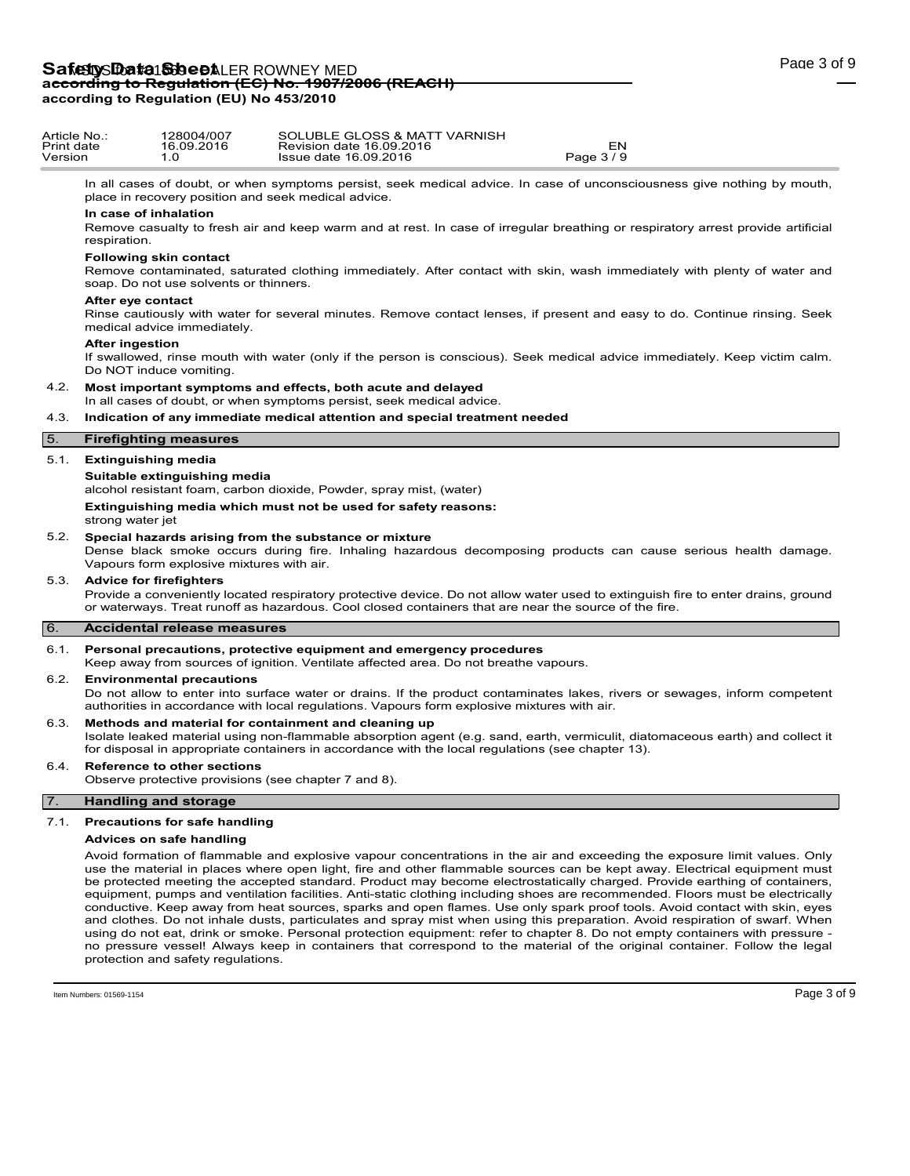| Article No.:<br>Print date<br>Version |                        | 128004/007<br>16.09.2016<br>1.0                                         | SOLUBLE GLOSS & MATT VARNISH<br>Revision date 16.09.2016<br>Issue date 16.09.2016                                                                                              | EN<br>Page 3/9 |  |
|---------------------------------------|------------------------|-------------------------------------------------------------------------|--------------------------------------------------------------------------------------------------------------------------------------------------------------------------------|----------------|--|
|                                       |                        |                                                                         | In all cases of doubt, or when symptoms persist, seek medical advice. In case of unconsciousness give nothing by mouth,<br>place in recovery position and seek medical advice. |                |  |
|                                       | respiration.           | In case of inhalation                                                   | Remove casualty to fresh air and keep warm and at rest. In case of irregular breathing or respiratory arrest provide artificial                                                |                |  |
|                                       |                        | <b>Following skin contact</b><br>soap. Do not use solvents or thinners. | Remove contaminated, saturated clothing immediately. After contact with skin, wash immediately with plenty of water and                                                        |                |  |
|                                       | After eye contact      | medical advice immediately.                                             | Rinse cautiously with water for several minutes. Remove contact lenses, if present and easy to do. Continue rinsing. Seek                                                      |                |  |
|                                       | <b>After ingestion</b> | Do NOT induce vomiting.                                                 | If swallowed, rinse mouth with water (only if the person is conscious). Seek medical advice immediately. Keep victim calm.                                                     |                |  |
| 4.2.                                  |                        |                                                                         | Most important symptoms and effects, both acute and delayed<br>In all cases of doubt, or when symptoms persist, seek medical advice.                                           |                |  |
| 4.3.                                  |                        |                                                                         | Indication of any immediate medical attention and special treatment needed                                                                                                     |                |  |
| $\overline{5}$ .                      |                        | <b>Firefighting measures</b>                                            |                                                                                                                                                                                |                |  |
| 5.1.                                  |                        | <b>Extinguishing media</b>                                              |                                                                                                                                                                                |                |  |
|                                       |                        | Suitable extinguishing media                                            | alcohol resistant foam, carbon dioxide, Powder, spray mist, (water)                                                                                                            |                |  |
|                                       |                        |                                                                         | Extinguishing media which must not be used for safety reasons:                                                                                                                 |                |  |

5.2. **Special hazards arising from the substance or mixture**

Dense black smoke occurs during fire. Inhaling hazardous decomposing products can cause serious health damage. Vapours form explosive mixtures with air.

### 5.3. **Advice for firefighters**

strong water jet

> Provide a conveniently located respiratory protective device. Do not allow water used to extinguish fire to enter drains, ground or waterways. Treat runoff as hazardous. Cool closed containers that are near the source of the fire.

### 6. **Accidental release measures**

#### 6.1. **Personal precautions, protective equipment and emergency procedures**

Keep away from sources of ignition. Ventilate affected area. Do not breathe vapours.

#### 6.2. **Environmental precautions**

Do not allow to enter into surface water or drains. If the product contaminates lakes, rivers or sewages, inform competent authorities in accordance with local regulations. Vapours form explosive mixtures with air.

#### 6.3. **Methods and material for containment and cleaning up**

Isolate leaked material using non-flammable absorption agent (e.g. sand, earth, vermiculit, diatomaceous earth) and collect it for disposal in appropriate containers in accordance with the local regulations (see chapter 13).

#### 6.4. **Reference to other sections**

Observe protective provisions (see chapter 7 and 8).

## 7. **Handling and storage**

#### 7.1. **Precautions for safe handling**

### **Advices on safe handling**

Avoid formation of flammable and explosive vapour concentrations in the air and exceeding the exposure limit values. Only use the material in places where open light, fire and other flammable sources can be kept away. Electrical equipment must be protected meeting the accepted standard. Product may become electrostatically charged. Provide earthing of containers, equipment, pumps and ventilation facilities. Anti-static clothing including shoes are recommended. Floors must be electrically conductive. Keep away from heat sources, sparks and open flames. Use only spark proof tools. Avoid contact with skin, eyes and clothes. Do not inhale dusts, particulates and spray mist when using this preparation. Avoid respiration of swarf. When using do not eat, drink or smoke. Personal protection equipment: refer to chapter 8. Do not empty containers with pressure no pressure vessel! Always keep in containers that correspond to the material of the original container. Follow the legal protection and safety regulations.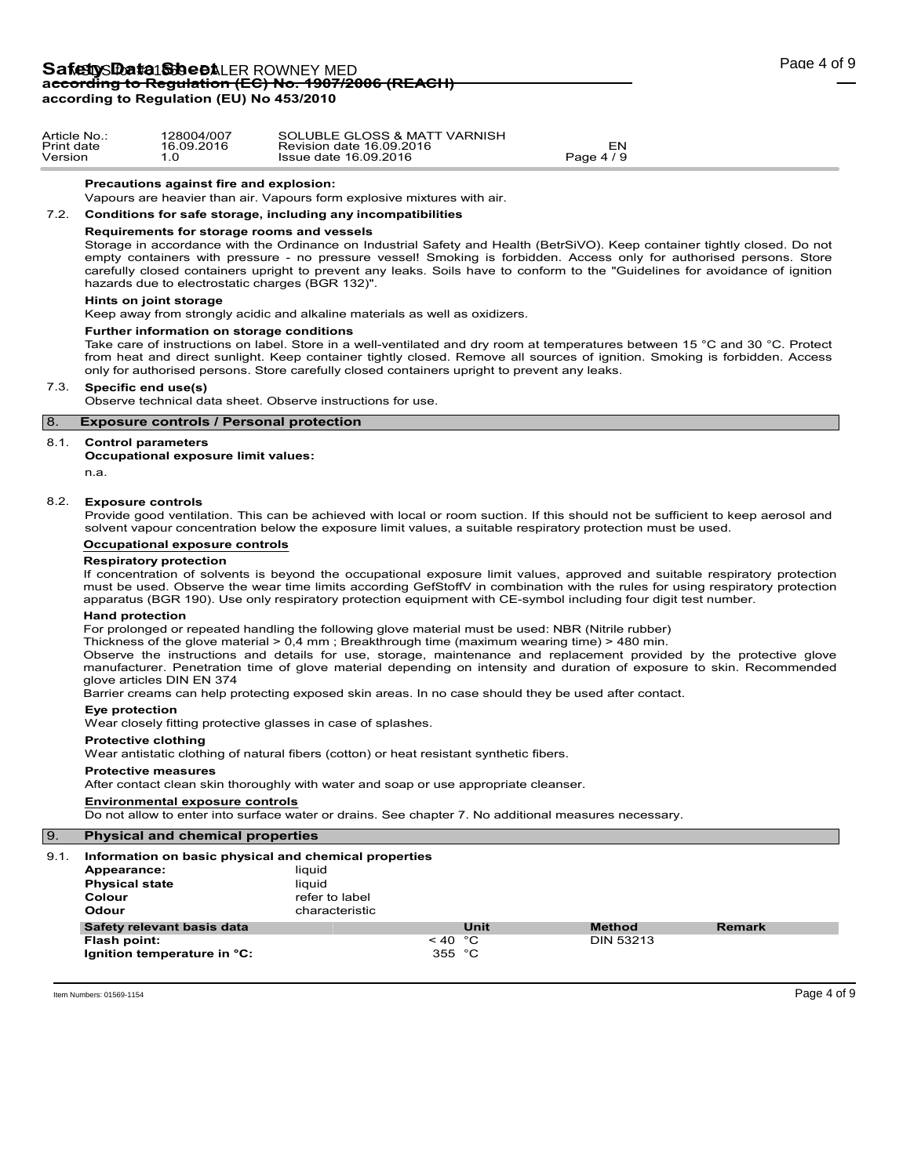| Page 4 of 9 |  |  |  |
|-------------|--|--|--|
|-------------|--|--|--|

| Article No | 28004/007  | SOLUBLE GLOSS & MATT VARNISH |                          |  |
|------------|------------|------------------------------|--------------------------|--|
| Print date | 16.09.2016 | Revision date 16.09.2016     | EN                       |  |
| Version    |            | Issue date 16.09.2016        | 7 O<br>Page 4 .<br>- - - |  |

#### **Precautions against fire and explosion:**

Vapours are heavier than air. Vapours form explosive mixtures with air.

## 7.2. **Conditions for safe storage, including any incompatibilities**

### **Requirements for storage rooms and vessels**

Storage in accordance with the Ordinance on Industrial Safety and Health (BetrSiVO). Keep container tightly closed. Do not empty containers with pressure - no pressure vessel! Smoking is forbidden. Access only for authorised persons. Store carefully closed containers upright to prevent any leaks. Soils have to conform to the "Guidelines for avoidance of ignition hazards due to electrostatic charges (BGR 132)".

### **Hints on joint storage**

Keep away from strongly acidic and alkaline materials as well as oxidizers.

#### **Further information on storage conditions**

Take care of instructions on label. Store in a well-ventilated and dry room at temperatures between 15 °C and 30 °C. Protect from heat and direct sunlight. Keep container tightly closed. Remove all sources of ignition. Smoking is forbidden. Access only for authorised persons. Store carefully closed containers upright to prevent any leaks.

#### 7.3. **Specific end use(s)**

Observe technical data sheet. Observe instructions for use.

## 8. **Exposure controls / Personal protection**

#### 8.1. **Control parameters**

**Occupational exposure limit values:**

n.a.

#### 8.2. **Exposure controls**

Provide good ventilation. This can be achieved with local or room suction. If this should not be sufficient to keep aerosol and solvent vapour concentration below the exposure limit values, a suitable respiratory protection must be used.

### **Occupational exposure controls**

### **Respiratory protection**

If concentration of solvents is beyond the occupational exposure limit values, approved and suitable respiratory protection must be used. Observe the wear time limits according GefStoffV in combination with the rules for using respiratory protection apparatus (BGR 190). Use only respiratory protection equipment with CE-symbol including four digit test number.

#### **Hand protection**

For prolonged or repeated handling the following glove material must be used: NBR (Nitrile rubber)

Thickness of the glove material > 0,4 mm ; Breakthrough time (maximum wearing time) > 480 min.

Observe the instructions and details for use, storage, maintenance and replacement provided by the protective glove manufacturer. Penetration time of glove material depending on intensity and duration of exposure to skin. Recommended glove articles DIN EN 374

Barrier creams can help protecting exposed skin areas. In no case should they be used after contact.

### **Eye protection**

Wear closely fitting protective glasses in case of splashes.

#### **Protective clothing**

Wear antistatic clothing of natural fibers (cotton) or heat resistant synthetic fibers.

#### **Protective measures**

After contact clean skin thoroughly with water and soap or use appropriate cleanser.

#### **Environmental exposure controls**

Do not allow to enter into surface water or drains. See chapter 7. No additional measures necessary.

## 9. **Physical and chemical properties**

## 9.1. **Information on basic physical and chemical properties**

| <u>mionialion on basic physical and chemical properties</u> |                |                       |      |                  |               |
|-------------------------------------------------------------|----------------|-----------------------|------|------------------|---------------|
| Appearance:                                                 | liauid         |                       |      |                  |               |
| <b>Physical state</b>                                       | liauid         |                       |      |                  |               |
| Colour                                                      | refer to label |                       |      |                  |               |
| Odour                                                       | characteristic |                       |      |                  |               |
| Safety relevant basis data                                  |                |                       | Unit | <b>Method</b>    | <b>Remark</b> |
| Flash point:                                                |                | $~<$ 40 $~^{\circ}$ C |      | <b>DIN 53213</b> |               |
| Ignition temperature in °C:                                 |                | 355 °C                |      |                  |               |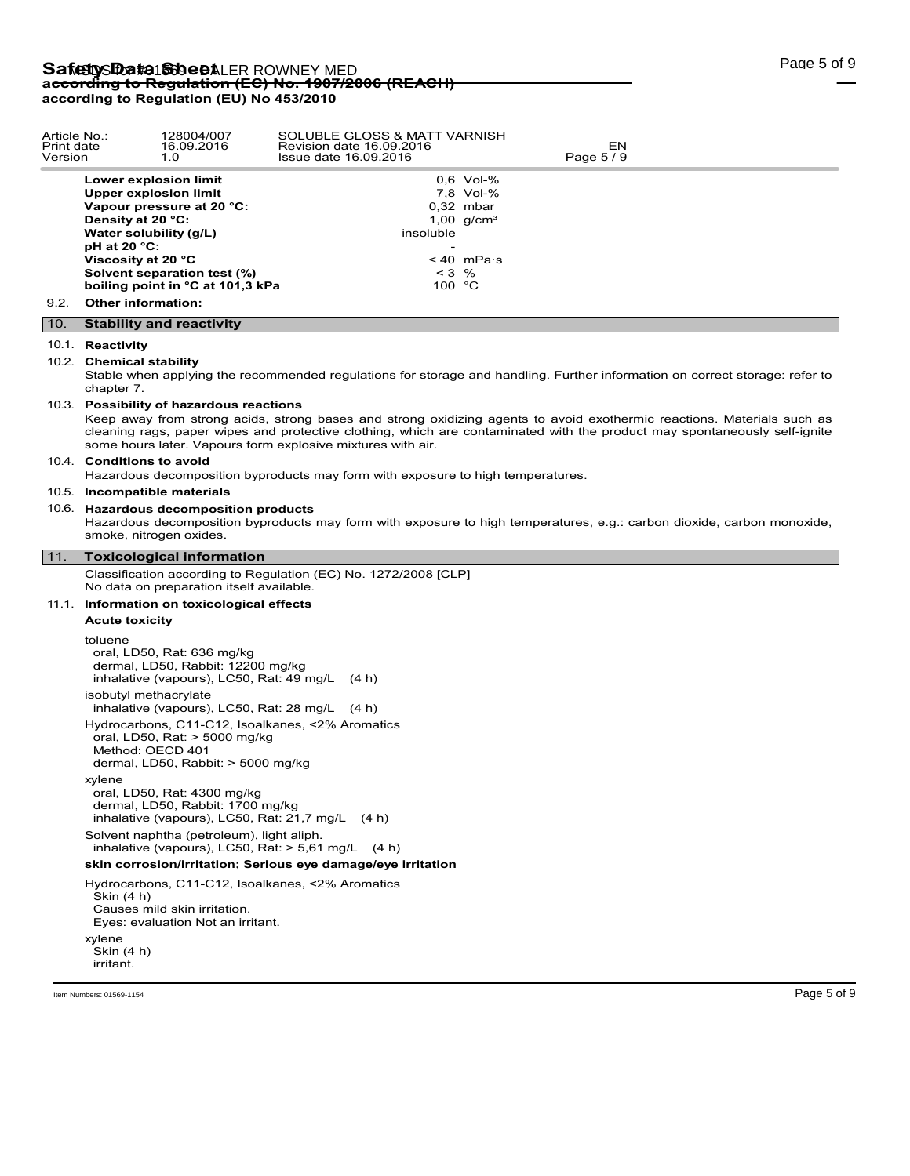| Article No.:<br>Print date<br>Version |                                        | 128004/007<br>16.09.2016<br>1.0                                                                                                                                                                       | SOLUBLE GLOSS & MATT VARNISH<br>Revision date 16.09.2016<br>Issue date 16.09.2016                                                                                                                                                                                                                                  |                                                                                                       | EN<br>Page 5/9 |             |
|---------------------------------------|----------------------------------------|-------------------------------------------------------------------------------------------------------------------------------------------------------------------------------------------------------|--------------------------------------------------------------------------------------------------------------------------------------------------------------------------------------------------------------------------------------------------------------------------------------------------------------------|-------------------------------------------------------------------------------------------------------|----------------|-------------|
|                                       | Density at 20 °C:<br>$pH$ at 20 $°C$ : | Lower explosion limit<br><b>Upper explosion limit</b><br>Vapour pressure at 20 °C:<br>Water solubility (g/L)<br>Viscosity at 20 °C<br>Solvent separation test (%)<br>boiling point in °C at 101,3 kPa | insoluble                                                                                                                                                                                                                                                                                                          | 0.6 Vol-%<br>7,8 Vol-%<br>$0.32$ mbar<br>1,00 $q/cm^{3}$<br>$< 40$ mPa $\cdot$ s<br>$< 3$ %<br>100 °C |                |             |
| 9.2.                                  |                                        | <b>Other information:</b>                                                                                                                                                                             |                                                                                                                                                                                                                                                                                                                    |                                                                                                       |                |             |
| 10.                                   |                                        | <b>Stability and reactivity</b>                                                                                                                                                                       |                                                                                                                                                                                                                                                                                                                    |                                                                                                       |                |             |
|                                       | 10.1. Reactivity                       |                                                                                                                                                                                                       |                                                                                                                                                                                                                                                                                                                    |                                                                                                       |                |             |
|                                       | chapter 7.                             | 10.2. Chemical stability                                                                                                                                                                              | Stable when applying the recommended regulations for storage and handling. Further information on correct storage: refer to                                                                                                                                                                                        |                                                                                                       |                |             |
|                                       |                                        | 10.3. Possibility of hazardous reactions                                                                                                                                                              | Keep away from strong acids, strong bases and strong oxidizing agents to avoid exothermic reactions. Materials such as<br>cleaning rags, paper wipes and protective clothing, which are contaminated with the product may spontaneously self-ignite<br>some hours later. Vapours form explosive mixtures with air. |                                                                                                       |                |             |
|                                       |                                        | 10.4. Conditions to avoid                                                                                                                                                                             | Hazardous decomposition byproducts may form with exposure to high temperatures.                                                                                                                                                                                                                                    |                                                                                                       |                |             |
|                                       |                                        | 10.5. Incompatible materials                                                                                                                                                                          |                                                                                                                                                                                                                                                                                                                    |                                                                                                       |                |             |
|                                       |                                        | 10.6. Hazardous decomposition products<br>smoke, nitrogen oxides.                                                                                                                                     | Hazardous decomposition byproducts may form with exposure to high temperatures, e.g.: carbon dioxide, carbon monoxide,                                                                                                                                                                                             |                                                                                                       |                |             |
| 11.                                   |                                        | <b>Toxicological information</b>                                                                                                                                                                      |                                                                                                                                                                                                                                                                                                                    |                                                                                                       |                |             |
|                                       |                                        | No data on preparation itself available.                                                                                                                                                              | Classification according to Regulation (EC) No. 1272/2008 [CLP]                                                                                                                                                                                                                                                    |                                                                                                       |                |             |
|                                       |                                        | 11.1. Information on toxicological effects                                                                                                                                                            |                                                                                                                                                                                                                                                                                                                    |                                                                                                       |                |             |
|                                       | <b>Acute toxicity</b>                  |                                                                                                                                                                                                       |                                                                                                                                                                                                                                                                                                                    |                                                                                                       |                |             |
|                                       | toluene                                | oral, LD50, Rat: 636 mg/kg<br>dermal, LD50, Rabbit: 12200 mg/kg<br>inhalative (vapours), LC50, Rat: 49 mg/L<br>isobutyl methacrylate<br>inhalative (vapours), LC50, Rat: 28 mg/L (4 h)                | (4 h)                                                                                                                                                                                                                                                                                                              |                                                                                                       |                |             |
|                                       |                                        | oral, LD50, Rat: > 5000 mg/kg<br>Method: OECD 401<br>dermal, LD50, Rabbit: > 5000 mg/kg                                                                                                               | Hydrocarbons, C11-C12, Isoalkanes, <2% Aromatics                                                                                                                                                                                                                                                                   |                                                                                                       |                |             |
|                                       | xylene                                 | oral, LD50, Rat: 4300 mg/kg<br>dermal. LD50. Rabbit: 1700 mg/kg<br>inhalative (vapours), LC50, Rat: 21,7 mg/L (4 h)                                                                                   |                                                                                                                                                                                                                                                                                                                    |                                                                                                       |                |             |
|                                       |                                        | Solvent naphtha (petroleum), light aliph.                                                                                                                                                             | inhalative (vapours), LC50, Rat: $>$ 5,61 mg/L (4 h)                                                                                                                                                                                                                                                               |                                                                                                       |                |             |
|                                       |                                        |                                                                                                                                                                                                       | skin corrosion/irritation; Serious eye damage/eye irritation                                                                                                                                                                                                                                                       |                                                                                                       |                |             |
|                                       | Skin (4 h)                             | Hydrocarbons, C11-C12, Isoalkanes, <2% Aromatics<br>Causes mild skin irritation.<br>Eyes: evaluation Not an irritant.                                                                                 |                                                                                                                                                                                                                                                                                                                    |                                                                                                       |                |             |
|                                       | xylene<br>Skin (4 h)<br>irritant.      |                                                                                                                                                                                                       |                                                                                                                                                                                                                                                                                                                    |                                                                                                       |                |             |
|                                       | Item Numbers: 01569-1154               |                                                                                                                                                                                                       |                                                                                                                                                                                                                                                                                                                    |                                                                                                       |                | Page 5 of 9 |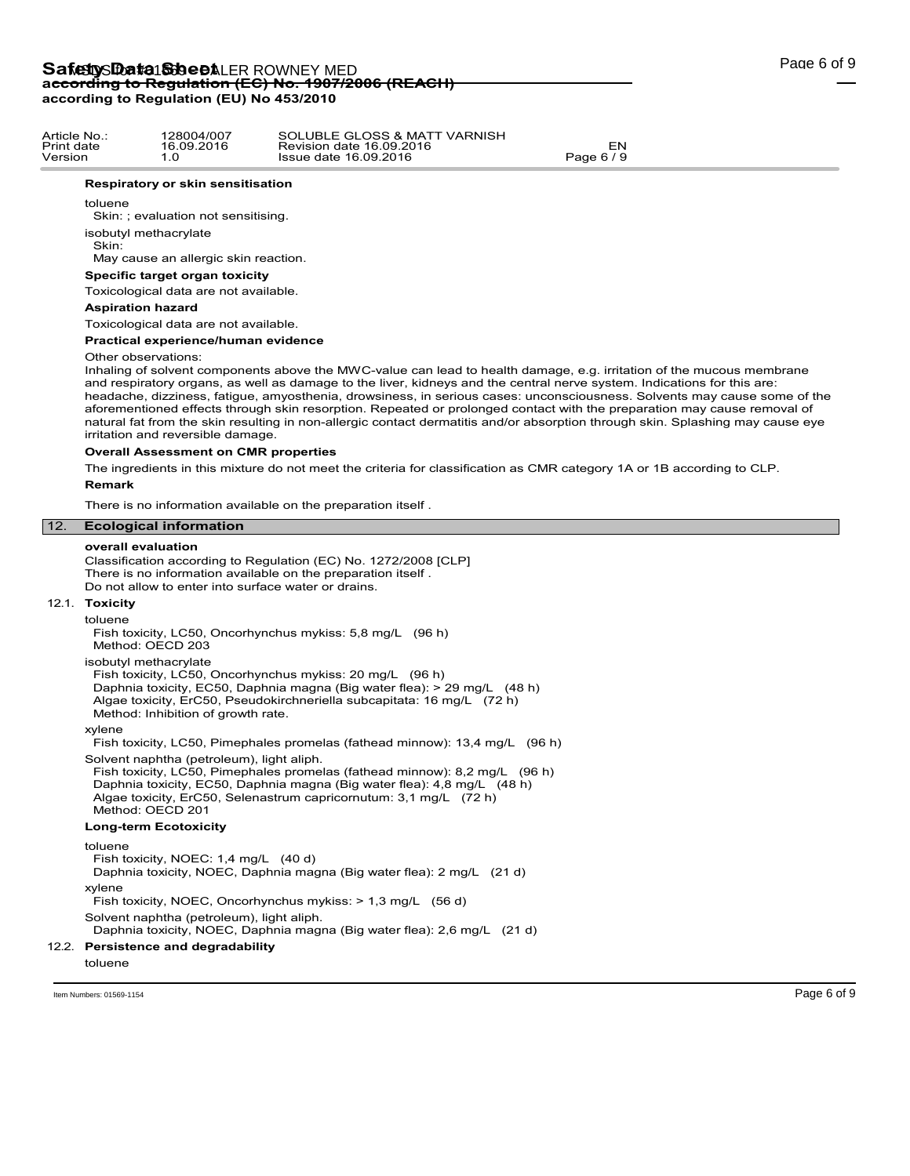Article No.: 128004/007 Print date 16.09.2016 Version 1.0

|     | <b>Respiratory or skin sensitisation</b>                                                                                                                                                                                                                                                                                                                                                                                                                                                                                                                                                                                                                                                             |
|-----|------------------------------------------------------------------------------------------------------------------------------------------------------------------------------------------------------------------------------------------------------------------------------------------------------------------------------------------------------------------------------------------------------------------------------------------------------------------------------------------------------------------------------------------------------------------------------------------------------------------------------------------------------------------------------------------------------|
|     | toluene                                                                                                                                                                                                                                                                                                                                                                                                                                                                                                                                                                                                                                                                                              |
|     | Skin: ; evaluation not sensitising.                                                                                                                                                                                                                                                                                                                                                                                                                                                                                                                                                                                                                                                                  |
|     | isobutyl methacrylate<br>Skin:                                                                                                                                                                                                                                                                                                                                                                                                                                                                                                                                                                                                                                                                       |
|     | May cause an allergic skin reaction.                                                                                                                                                                                                                                                                                                                                                                                                                                                                                                                                                                                                                                                                 |
|     | Specific target organ toxicity                                                                                                                                                                                                                                                                                                                                                                                                                                                                                                                                                                                                                                                                       |
|     | Toxicological data are not available.                                                                                                                                                                                                                                                                                                                                                                                                                                                                                                                                                                                                                                                                |
|     | <b>Aspiration hazard</b>                                                                                                                                                                                                                                                                                                                                                                                                                                                                                                                                                                                                                                                                             |
|     | Toxicological data are not available.                                                                                                                                                                                                                                                                                                                                                                                                                                                                                                                                                                                                                                                                |
|     | Practical experience/human evidence                                                                                                                                                                                                                                                                                                                                                                                                                                                                                                                                                                                                                                                                  |
|     | Other observations:<br>Inhaling of solvent components above the MWC-value can lead to health damage, e.g. irritation of the mucous membrane<br>and respiratory organs, as well as damage to the liver, kidneys and the central nerve system. Indications for this are:<br>headache, dizziness, fatigue, amyosthenia, drowsiness, in serious cases: unconsciousness. Solvents may cause some of the<br>aforementioned effects through skin resorption. Repeated or prolonged contact with the preparation may cause removal of<br>natural fat from the skin resulting in non-allergic contact dermatitis and/or absorption through skin. Splashing may cause eye<br>irritation and reversible damage. |
|     | <b>Overall Assessment on CMR properties</b>                                                                                                                                                                                                                                                                                                                                                                                                                                                                                                                                                                                                                                                          |
|     | The ingredients in this mixture do not meet the criteria for classification as CMR category 1A or 1B according to CLP.                                                                                                                                                                                                                                                                                                                                                                                                                                                                                                                                                                               |
|     | <b>Remark</b>                                                                                                                                                                                                                                                                                                                                                                                                                                                                                                                                                                                                                                                                                        |
|     | There is no information available on the preparation itself.                                                                                                                                                                                                                                                                                                                                                                                                                                                                                                                                                                                                                                         |
| 12. | <b>Ecological information</b>                                                                                                                                                                                                                                                                                                                                                                                                                                                                                                                                                                                                                                                                        |
|     |                                                                                                                                                                                                                                                                                                                                                                                                                                                                                                                                                                                                                                                                                                      |
|     | overall evaluation<br>Classification according to Regulation (EC) No. 1272/2008 [CLP]<br>There is no information available on the preparation itself.<br>Do not allow to enter into surface water or drains.                                                                                                                                                                                                                                                                                                                                                                                                                                                                                         |
|     | 12.1. Toxicity                                                                                                                                                                                                                                                                                                                                                                                                                                                                                                                                                                                                                                                                                       |
|     | toluene<br>Fish toxicity, LC50, Oncorhynchus mykiss: 5,8 mg/L (96 h)<br>Method: OECD 203                                                                                                                                                                                                                                                                                                                                                                                                                                                                                                                                                                                                             |
|     | isobutyl methacrylate<br>Fish toxicity, LC50, Oncorhynchus mykiss: 20 mg/L (96 h)<br>Daphnia toxicity, EC50, Daphnia magna (Big water flea): > 29 mg/L (48 h)<br>Algae toxicity, ErC50, Pseudokirchneriella subcapitata: 16 mg/L (72 h)<br>Method: Inhibition of growth rate.                                                                                                                                                                                                                                                                                                                                                                                                                        |
|     | xylene<br>Fish toxicity, LC50, Pimephales promelas (fathead minnow): 13,4 mg/L (96 h)                                                                                                                                                                                                                                                                                                                                                                                                                                                                                                                                                                                                                |
|     | Solvent naphtha (petroleum), light aliph.<br>Fish toxicity, LC50, Pimephales promelas (fathead minnow): 8,2 mg/L (96 h)<br>Daphnia toxicity, EC50, Daphnia magna (Big water flea): 4,8 mg/L (48 h)<br>Algae toxicity, ErC50, Selenastrum capricornutum: 3,1 mg/L (72 h)<br>Method: OECD 201                                                                                                                                                                                                                                                                                                                                                                                                          |
|     | <b>Long-term Ecotoxicity</b>                                                                                                                                                                                                                                                                                                                                                                                                                                                                                                                                                                                                                                                                         |
|     | toluene<br>Fish toxicity, NOEC: 1,4 mg/L (40 d)<br>Daphnia toxicity, NOEC, Daphnia magna (Big water flea): 2 mg/L (21 d)<br>xylene                                                                                                                                                                                                                                                                                                                                                                                                                                                                                                                                                                   |

Solvent naphtha (petroleum), light aliph.

Daphnia toxicity, NOEC, Daphnia magna (Big water flea): 2,6 mg/L (21 d)

## 12.2. **Persistence and degradability**

toluene

Item Numbers: 01569-1154 **Page 6 of 9** 

SOLUBLE GLOSS & MATT VARNISH Revision date 16.09.2016 EN Issue date 16.09.2016 Page 6 / 9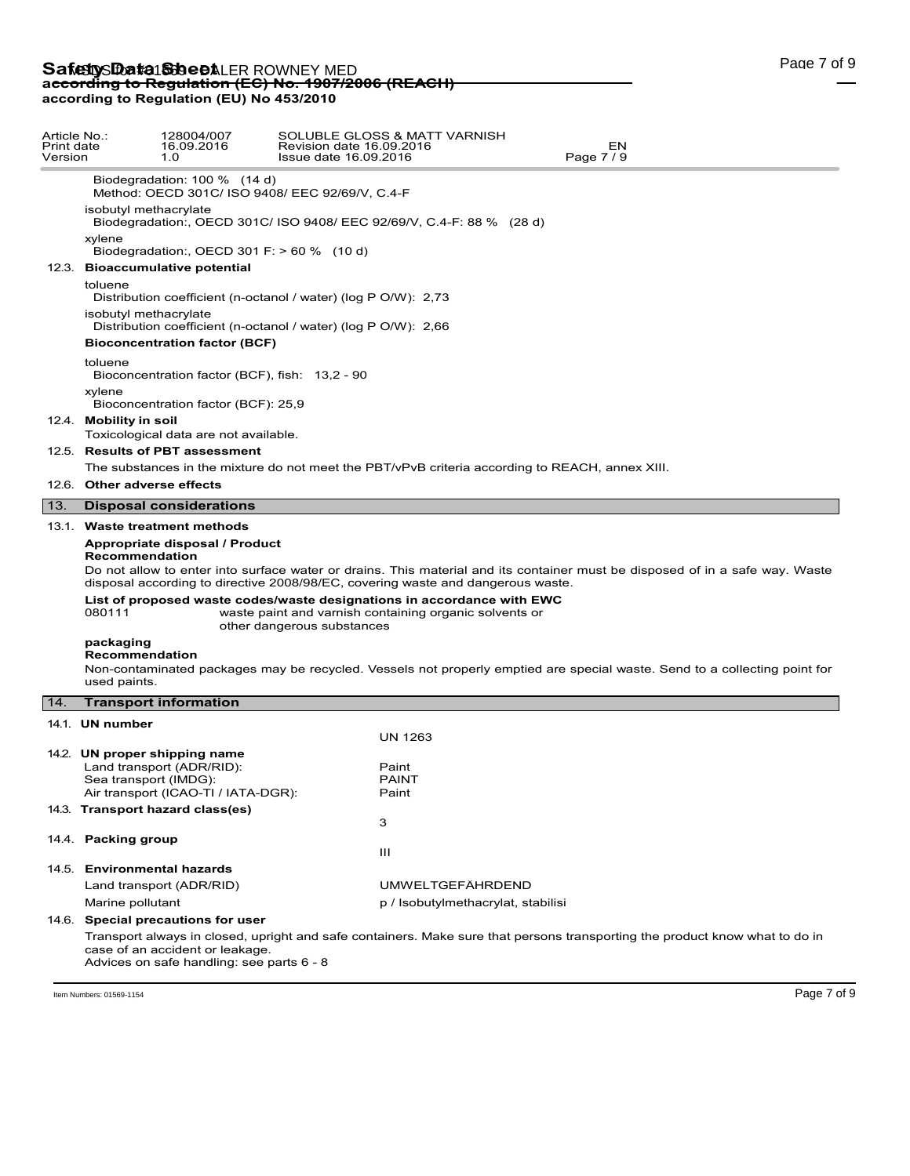| Article No.:<br>Print date<br>Version |                                             | 128004/007<br>16.09.2016<br>1.0                                                                   | SOLUBLE GLOSS & MATT VARNISH<br>Revision date 16.09.2016<br>EN<br>Page 7/9<br>Issue date 16.09.2016                                                                                                                                                                                                                                                                               |  |
|---------------------------------------|---------------------------------------------|---------------------------------------------------------------------------------------------------|-----------------------------------------------------------------------------------------------------------------------------------------------------------------------------------------------------------------------------------------------------------------------------------------------------------------------------------------------------------------------------------|--|
|                                       |                                             | Biodegradation: 100 % (14 d)                                                                      | Method: OECD 301C/ ISO 9408/ EEC 92/69/V, C.4-F                                                                                                                                                                                                                                                                                                                                   |  |
|                                       | isobutyl methacrylate                       |                                                                                                   | Biodegradation:, OECD 301C/ ISO 9408/ EEC 92/69/V, C.4-F: 88 % (28 d)                                                                                                                                                                                                                                                                                                             |  |
|                                       | xylene                                      | Biodegradation:, OECD 301 F: $> 60 \%$ (10 d)                                                     |                                                                                                                                                                                                                                                                                                                                                                                   |  |
|                                       |                                             | 12.3. Bioaccumulative potential                                                                   |                                                                                                                                                                                                                                                                                                                                                                                   |  |
|                                       | toluene                                     |                                                                                                   | Distribution coefficient (n-octanol / water) (log P O/W): 2,73                                                                                                                                                                                                                                                                                                                    |  |
|                                       | isobutyl methacrylate                       |                                                                                                   | Distribution coefficient (n-octanol / water) (log P O/W): 2,66                                                                                                                                                                                                                                                                                                                    |  |
|                                       |                                             | <b>Bioconcentration factor (BCF)</b>                                                              |                                                                                                                                                                                                                                                                                                                                                                                   |  |
|                                       | toluene                                     | Bioconcentration factor (BCF), fish: 13,2 - 90                                                    |                                                                                                                                                                                                                                                                                                                                                                                   |  |
|                                       | xylene                                      | Bioconcentration factor (BCF): 25,9                                                               |                                                                                                                                                                                                                                                                                                                                                                                   |  |
|                                       | 12.4. Mobility in soil                      | Toxicological data are not available.                                                             |                                                                                                                                                                                                                                                                                                                                                                                   |  |
|                                       |                                             | 12.5. Results of PBT assessment                                                                   |                                                                                                                                                                                                                                                                                                                                                                                   |  |
|                                       |                                             |                                                                                                   | The substances in the mixture do not meet the PBT/vPvB criteria according to REACH, annex XIII.                                                                                                                                                                                                                                                                                   |  |
|                                       | 12.6. Other adverse effects                 |                                                                                                   |                                                                                                                                                                                                                                                                                                                                                                                   |  |
| 13.                                   |                                             | <b>Disposal considerations</b>                                                                    |                                                                                                                                                                                                                                                                                                                                                                                   |  |
|                                       |                                             | 13.1. Waste treatment methods                                                                     |                                                                                                                                                                                                                                                                                                                                                                                   |  |
|                                       | Recommendation<br>080111                    | Appropriate disposal / Product                                                                    | Do not allow to enter into surface water or drains. This material and its container must be disposed of in a safe way. Waste<br>disposal according to directive 2008/98/EC, covering waste and dangerous waste.<br>List of proposed waste codes/waste designations in accordance with EWC<br>waste paint and varnish containing organic solvents or<br>other dangerous substances |  |
|                                       | packaging<br>Recommendation<br>used paints. |                                                                                                   | Non-contaminated packages may be recycled. Vessels not properly emptied are special waste. Send to a collecting point for                                                                                                                                                                                                                                                         |  |
| 14.                                   |                                             | <b>Transport information</b>                                                                      |                                                                                                                                                                                                                                                                                                                                                                                   |  |
|                                       | 14.1. UN number                             |                                                                                                   | <b>UN 1263</b>                                                                                                                                                                                                                                                                                                                                                                    |  |
|                                       | Sea transport (IMDG):                       | 14.2. UN proper shipping name<br>Land transport (ADR/RID):<br>Air transport (ICAO-TI / IATA-DGR): | Paint<br><b>PAINT</b><br>Paint                                                                                                                                                                                                                                                                                                                                                    |  |
|                                       |                                             | 14.3. Transport hazard class(es)                                                                  | 3                                                                                                                                                                                                                                                                                                                                                                                 |  |
|                                       | 14.4. Packing group                         |                                                                                                   | Ш                                                                                                                                                                                                                                                                                                                                                                                 |  |
|                                       |                                             | 14.5. Environmental hazards                                                                       |                                                                                                                                                                                                                                                                                                                                                                                   |  |
|                                       |                                             | Land transport (ADR/RID)                                                                          | <b>UMWELTGEFÄHRDEND</b>                                                                                                                                                                                                                                                                                                                                                           |  |
|                                       | Marine pollutant                            |                                                                                                   | p / Isobutylmethacrylat, stabilisi                                                                                                                                                                                                                                                                                                                                                |  |
|                                       |                                             | 14.6. Special precautions for user                                                                |                                                                                                                                                                                                                                                                                                                                                                                   |  |
|                                       |                                             | case of an accident or leakage.                                                                   | Transport always in closed, upright and safe containers. Make sure that persons transporting the product know what to do in                                                                                                                                                                                                                                                       |  |

Advices on safe handling: see parts 6 - 8

Item Numbers: 01569-1154 Page 7 of 9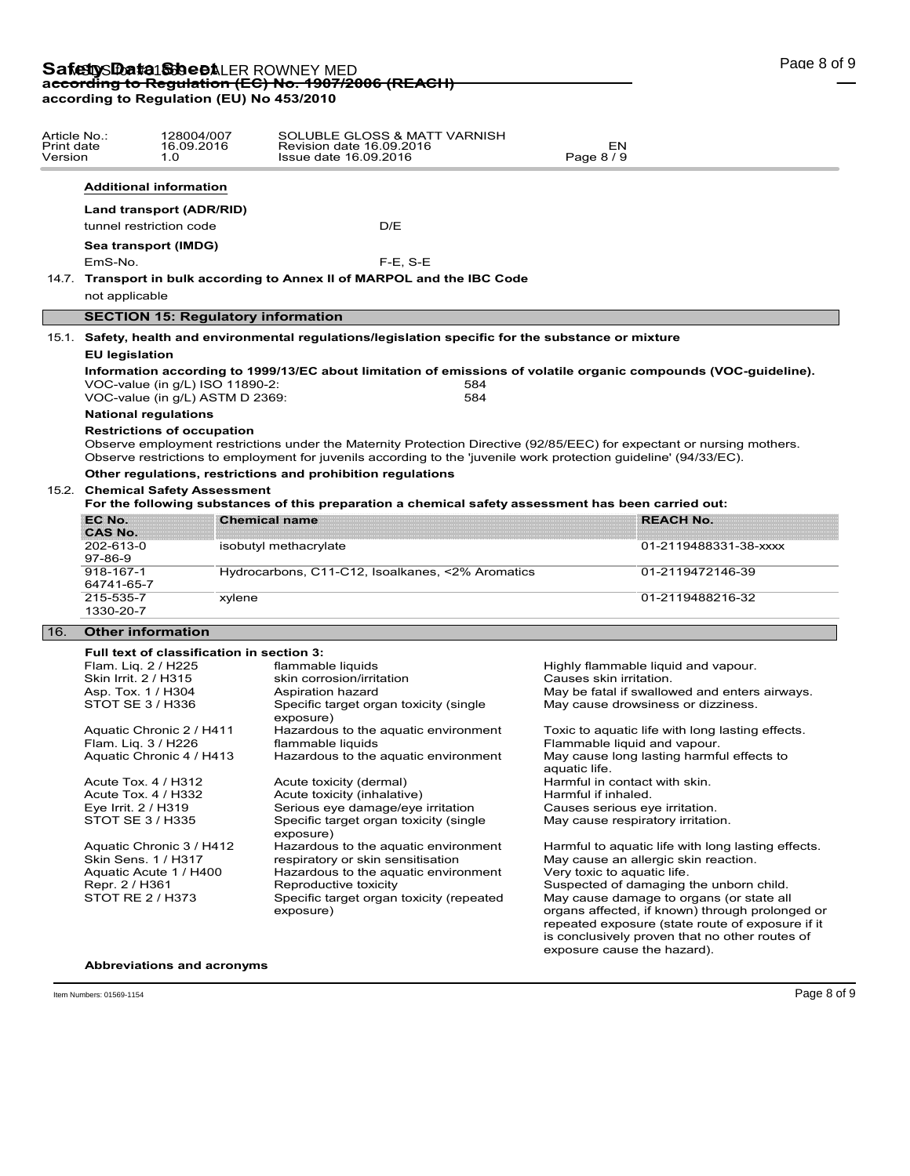| Article No.:<br>Print date<br>Version |                                                                                                                                         | 128004/007<br>16.09.2016<br>1.0                                    | SOLUBLE GLOSS & MATT VARNISH<br>Revision date 16.09.2016<br>Issue date 16.09.2016                                                                                                                                                           | EΝ<br>Page 8 / 9                                                     |                                               |  |  |
|---------------------------------------|-----------------------------------------------------------------------------------------------------------------------------------------|--------------------------------------------------------------------|---------------------------------------------------------------------------------------------------------------------------------------------------------------------------------------------------------------------------------------------|----------------------------------------------------------------------|-----------------------------------------------|--|--|
|                                       |                                                                                                                                         | <b>Additional information</b>                                      |                                                                                                                                                                                                                                             |                                                                      |                                               |  |  |
|                                       |                                                                                                                                         | Land transport (ADR/RID)                                           |                                                                                                                                                                                                                                             |                                                                      |                                               |  |  |
|                                       |                                                                                                                                         | tunnel restriction code                                            | D/E                                                                                                                                                                                                                                         |                                                                      |                                               |  |  |
|                                       |                                                                                                                                         |                                                                    |                                                                                                                                                                                                                                             |                                                                      |                                               |  |  |
|                                       |                                                                                                                                         | Sea transport (IMDG)                                               |                                                                                                                                                                                                                                             |                                                                      |                                               |  |  |
|                                       | EmS-No.                                                                                                                                 |                                                                    | $F-E$ , $S-E$                                                                                                                                                                                                                               |                                                                      |                                               |  |  |
|                                       |                                                                                                                                         |                                                                    | 14.7. Transport in bulk according to Annex II of MARPOL and the IBC Code                                                                                                                                                                    |                                                                      |                                               |  |  |
|                                       | not applicable                                                                                                                          |                                                                    |                                                                                                                                                                                                                                             |                                                                      |                                               |  |  |
|                                       |                                                                                                                                         | <b>SECTION 15: Regulatory information</b>                          |                                                                                                                                                                                                                                             |                                                                      |                                               |  |  |
|                                       |                                                                                                                                         |                                                                    |                                                                                                                                                                                                                                             |                                                                      |                                               |  |  |
|                                       |                                                                                                                                         |                                                                    | 15.1. Safety, health and environmental regulations/legislation specific for the substance or mixture                                                                                                                                        |                                                                      |                                               |  |  |
|                                       | <b>EU legislation</b>                                                                                                                   |                                                                    |                                                                                                                                                                                                                                             |                                                                      |                                               |  |  |
|                                       |                                                                                                                                         | VOC-value (in q/L) ISO 11890-2:<br>VOC-value (in g/L) ASTM D 2369: | Information according to 1999/13/EC about limitation of emissions of volatile organic compounds (VOC-guideline).<br>584<br>584                                                                                                              |                                                                      |                                               |  |  |
|                                       |                                                                                                                                         | <b>National regulations</b>                                        |                                                                                                                                                                                                                                             |                                                                      |                                               |  |  |
|                                       |                                                                                                                                         | <b>Restrictions of occupation</b>                                  | Observe employment restrictions under the Maternity Protection Directive (92/85/EEC) for expectant or nursing mothers.<br>Observe restrictions to employment for juvenils according to the 'juvenile work protection guideline' (94/33/EC). |                                                                      |                                               |  |  |
|                                       | Other regulations, restrictions and prohibition regulations                                                                             |                                                                    |                                                                                                                                                                                                                                             |                                                                      |                                               |  |  |
|                                       | 15.2. Chemical Safety Assessment<br>For the following substances of this preparation a chemical safety assessment has been carried out: |                                                                    |                                                                                                                                                                                                                                             |                                                                      |                                               |  |  |
|                                       | EC No.                                                                                                                                  |                                                                    | <b>Chemical name</b>                                                                                                                                                                                                                        |                                                                      | <b>REACH No.</b>                              |  |  |
|                                       | <b>CAS No.</b>                                                                                                                          |                                                                    |                                                                                                                                                                                                                                             |                                                                      |                                               |  |  |
|                                       | 202-613-0<br>97-86-9                                                                                                                    |                                                                    | isobutyl methacrylate                                                                                                                                                                                                                       |                                                                      | 01-2119488331-38-xxxx                         |  |  |
|                                       | 918-167-1                                                                                                                               |                                                                    | Hydrocarbons, C11-C12, Isoalkanes, <2% Aromatics                                                                                                                                                                                            |                                                                      | 01-2119472146-39                              |  |  |
|                                       | 64741-65-7                                                                                                                              |                                                                    |                                                                                                                                                                                                                                             |                                                                      |                                               |  |  |
|                                       | 215-535-7                                                                                                                               | xylene                                                             |                                                                                                                                                                                                                                             |                                                                      | 01-2119488216-32                              |  |  |
|                                       | 1330-20-7                                                                                                                               |                                                                    |                                                                                                                                                                                                                                             |                                                                      |                                               |  |  |
| 16.                                   | <b>Other information</b>                                                                                                                |                                                                    |                                                                                                                                                                                                                                             |                                                                      |                                               |  |  |
|                                       |                                                                                                                                         | Full text of classification in section 3:                          |                                                                                                                                                                                                                                             |                                                                      |                                               |  |  |
|                                       |                                                                                                                                         | Flam. Lig. 2 / H225                                                | flammable liquids                                                                                                                                                                                                                           | Highly flammable liquid and vapour.                                  |                                               |  |  |
|                                       |                                                                                                                                         | Skin Irrit. 2 / H315                                               | skin corrosion/irritation                                                                                                                                                                                                                   | Causes skin irritation.                                              |                                               |  |  |
|                                       |                                                                                                                                         | Asp. Tox. 1 / H304                                                 | Aspiration hazard                                                                                                                                                                                                                           |                                                                      | May be fatal if swallowed and enters airways. |  |  |
|                                       |                                                                                                                                         | STOT SE 3 / H336                                                   | Specific target organ toxicity (single<br>exposure)                                                                                                                                                                                         | May cause drowsiness or dizziness.                                   |                                               |  |  |
|                                       |                                                                                                                                         | Aquatic Chronic 2 / H411                                           | Hazardous to the aquatic environment                                                                                                                                                                                                        | Toxic to aquatic life with long lasting effects.                     |                                               |  |  |
|                                       |                                                                                                                                         | Flam. Liq. 3 / H226                                                | flammable liquids                                                                                                                                                                                                                           |                                                                      | Flammable liquid and vapour.                  |  |  |
|                                       |                                                                                                                                         | Aquatic Chronic 4 / H413                                           | Hazardous to the aquatic environment                                                                                                                                                                                                        | aquatic life.                                                        | May cause long lasting harmful effects to     |  |  |
|                                       |                                                                                                                                         | Acute Tox. 4 / H312                                                | Acute toxicity (dermal)                                                                                                                                                                                                                     | Harmful in contact with skin.                                        |                                               |  |  |
|                                       |                                                                                                                                         | Acute Tox. 4 / H332                                                | Acute toxicity (inhalative)                                                                                                                                                                                                                 | Harmful if inhaled.                                                  |                                               |  |  |
|                                       | Eye Irrit. 2 / H319                                                                                                                     | CTOT CE 2 LU22E                                                    | Serious eye damage/eye irritation<br>Concific torget ergen tevicity (cincle                                                                                                                                                                 | Causes serious eye irritation.<br>$M$ ou couse respiratory initation |                                               |  |  |
|                                       |                                                                                                                                         |                                                                    |                                                                                                                                                                                                                                             |                                                                      |                                               |  |  |

STOT SE 3 / H335 Specific target organ toxicity (single exposure)<br>Hazardous to the aquatic environment Aquatic Chronic 3 / H412 Hazardous to the aquatic environment Harmful to aquatic life with long lasting effects.<br>Skin Sens. 1 / H317 respiratory or skin sensitisation May cause an allergic skin reaction. Skin Sens. 1 / H317 respiratory or skin sensitisation May cause an allergic skin reaction.<br>Aquatic Acute 1 / H400 Hazardous to the aquatic environment Very toxic to aquatic life. Hazardous to the aquatic environment Repr. 2 / H361 Reproductive toxicity Suspected of damaging the unborn child.<br>STOT RE 2 / H373 Specific target organ toxicity (repeated May cause damage to organs (or state all Specific target organ toxicity (repeated exposure)

May cause respiratory irritation. May cause damage to organs (or state all

organs affected, if known) through prolonged or repeated exposure (state route of exposure if it is conclusively proven that no other routes of exposure cause the hazard).

## **Abbreviations and acronyms**